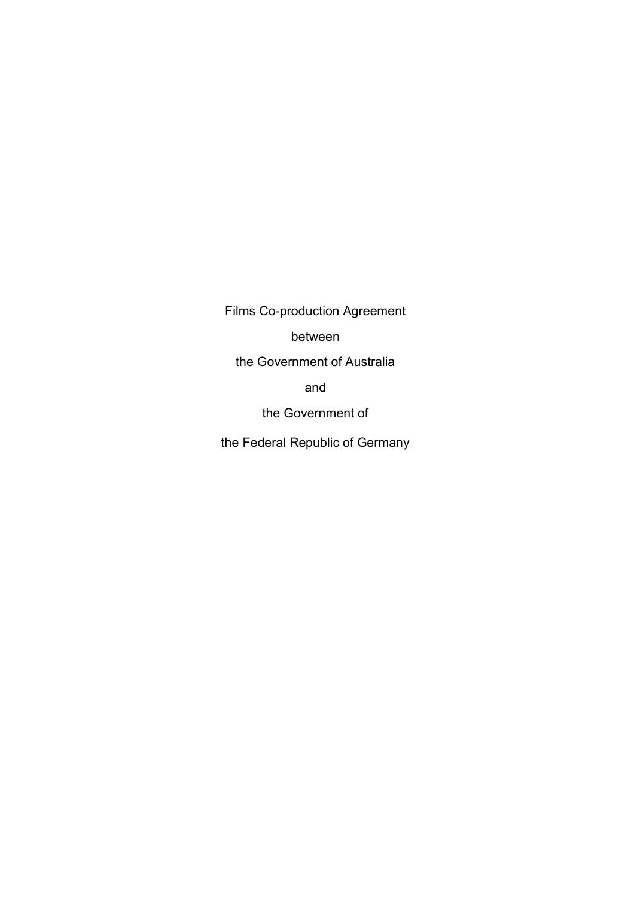Films Co-production Agreement

between

the Government of Australia

and

the Government of

the Federal Republic of Germany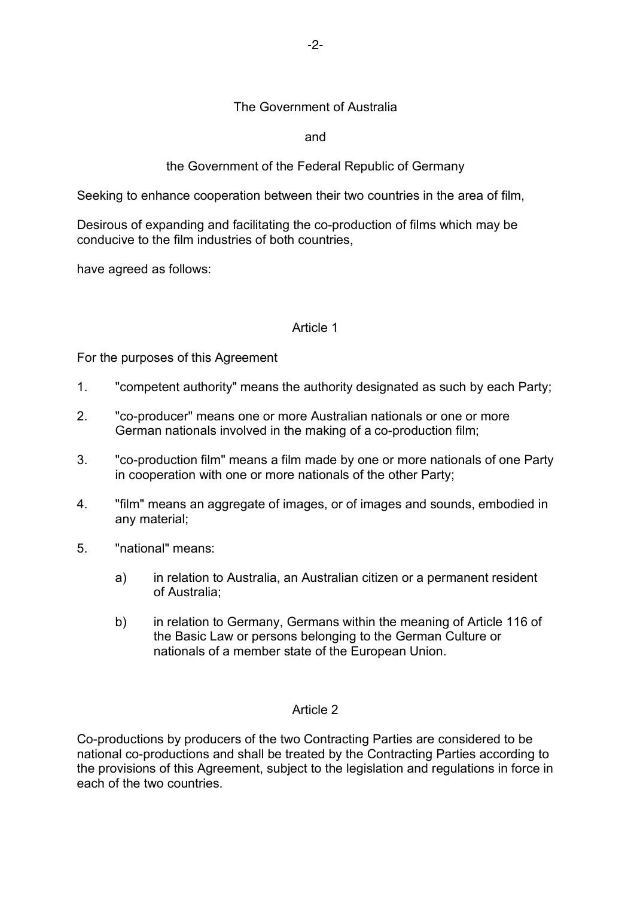# The Government of Australia

and

# the Government of the Federal Republic of Germany

Seeking to enhance cooperation between their two countries in the area of film,

Desirous of expanding and facilitating the co-production of films which may be conducive to the film industries of both countries,

have agreed as follows:

### Article 1

For the purposes of this Agreement

- 1. "competent authority" means the authority designated as such by each Party;
- 2. "co-producer" means one or more Australian nationals or one or more German nationals involved in the making of a co-production film;
- 3. "co-production film" means a film made by one or more nationals of one Party in cooperation with one or more nationals of the other Party;
- 4. "film" means an aggregate of images, or of images and sounds, embodied in any material;
- 5. "national" means:
	- a) in relation to Australia, an Australian citizen or a permanent resident of Australia;
	- b) in relation to Germany, Germans within the meaning of Article 116 of the Basic Law or persons belonging to the German Culture or nationals of a member state of the European Union.

#### Article 2

Co-productions by producers of the two Contracting Parties are considered to be national co-productions and shall be treated by the Contracting Parties according to the provisions of this Agreement, subject to the legislation and regulations in force in each of the two countries.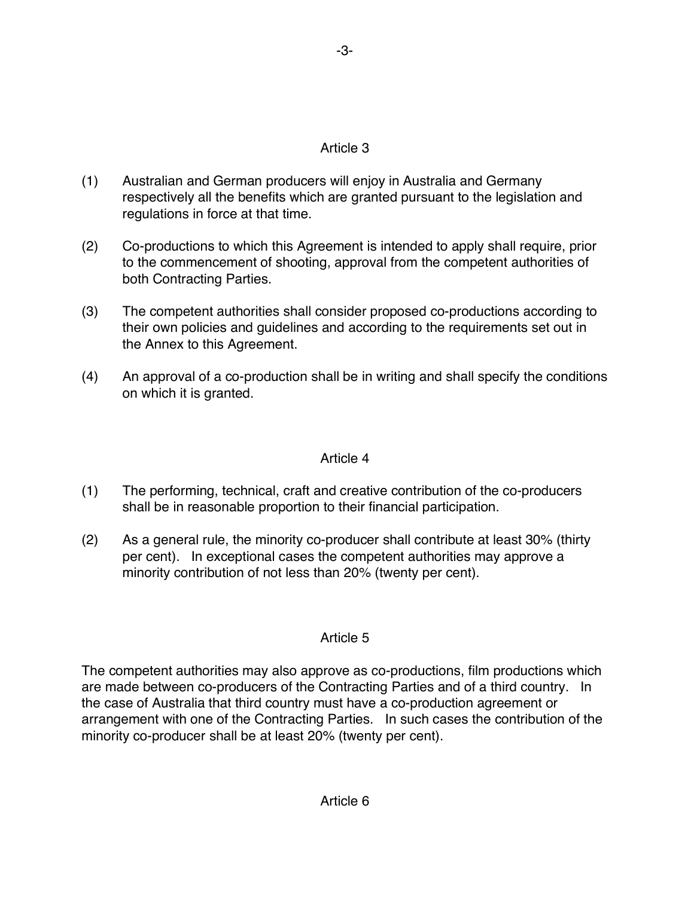# Article 3

- (1) Australian and German producers will enjoy in Australia and Germany respectively all the benefits which are granted pursuant to the legislation and regulations in force at that time.
- (2) Co-productions to which this Agreement is intended to apply shall require, prior to the commencement of shooting, approval from the competent authorities of both Contracting Parties.
- (3) The competent authorities shall consider proposed co-productions according to their own policies and guidelines and according to the requirements set out in the Annex to this Agreement.
- (4) An approval of a co-production shall be in writing and shall specify the conditions on which it is granted.

# Article 4

- (1) The performing, technical, craft and creative contribution of the co-producers shall be in reasonable proportion to their financial participation.
- (2) As a general rule, the minority co-producer shall contribute at least 30% (thirty per cent). In exceptional cases the competent authorities may approve a minority contribution of not less than 20% (twenty per cent).

# Article 5

The competent authorities may also approve as co-productions, film productions which are made between co-producers of the Contracting Parties and of a third country. In the case of Australia that third country must have a co-production agreement or arrangement with one of the Contracting Parties. In such cases the contribution of the minority co-producer shall be at least 20% (twenty per cent).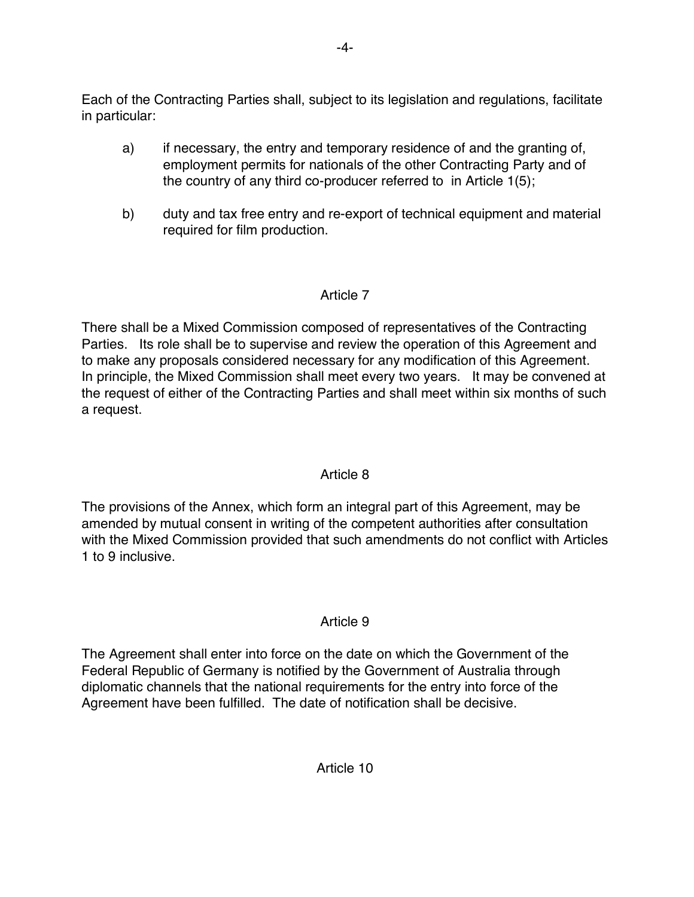Each of the Contracting Parties shall, subject to its legislation and regulations, facilitate in particular:

- a) if necessary, the entry and temporary residence of and the granting of, employment permits for nationals of the other Contracting Party and of the country of any third co-producer referred to in Article 1(5);
- b) duty and tax free entry and re-export of technical equipment and material required for film production.

# Article 7

There shall be a Mixed Commission composed of representatives of the Contracting Parties. Its role shall be to supervise and review the operation of this Agreement and to make any proposals considered necessary for any modification of this Agreement. In principle, the Mixed Commission shall meet every two years. It may be convened at the request of either of the Contracting Parties and shall meet within six months of such a request.

# Article 8

The provisions of the Annex, which form an integral part of this Agreement, may be amended by mutual consent in writing of the competent authorities after consultation with the Mixed Commission provided that such amendments do not conflict with Articles 1 to 9 inclusive.

# Article 9

The Agreement shall enter into force on the date on which the Government of the Federal Republic of Germany is notified by the Government of Australia through diplomatic channels that the national requirements for the entry into force of the Agreement have been fulfilled. The date of notification shall be decisive.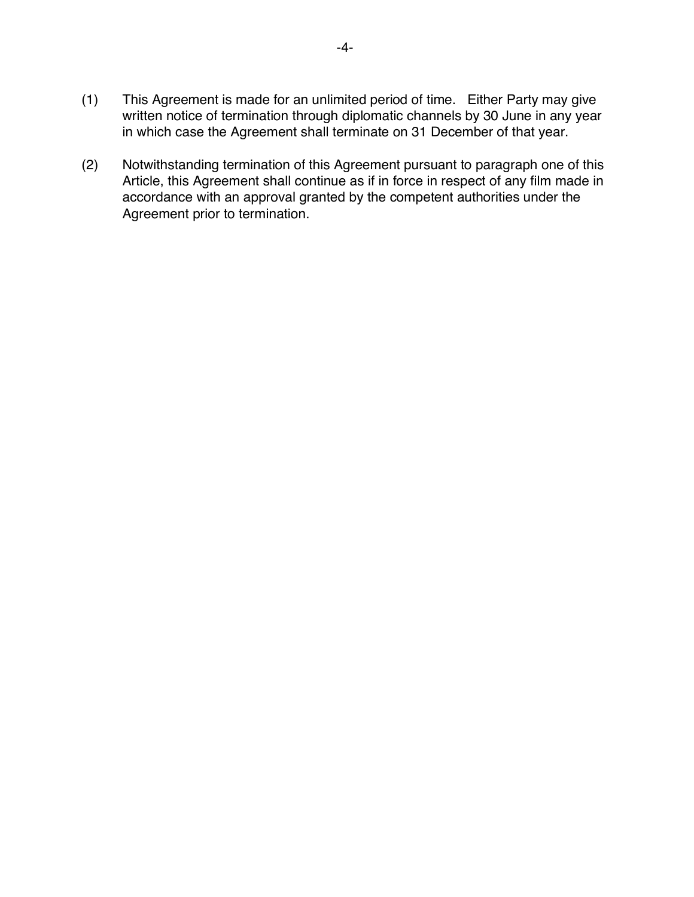- (1) This Agreement is made for an unlimited period of time. Either Party may give written notice of termination through diplomatic channels by 30 June in any year in which case the Agreement shall terminate on 31 December of that year.
- (2) Notwithstanding termination of this Agreement pursuant to paragraph one of this Article, this Agreement shall continue as if in force in respect of any film made in accordance with an approval granted by the competent authorities under the Agreement prior to termination.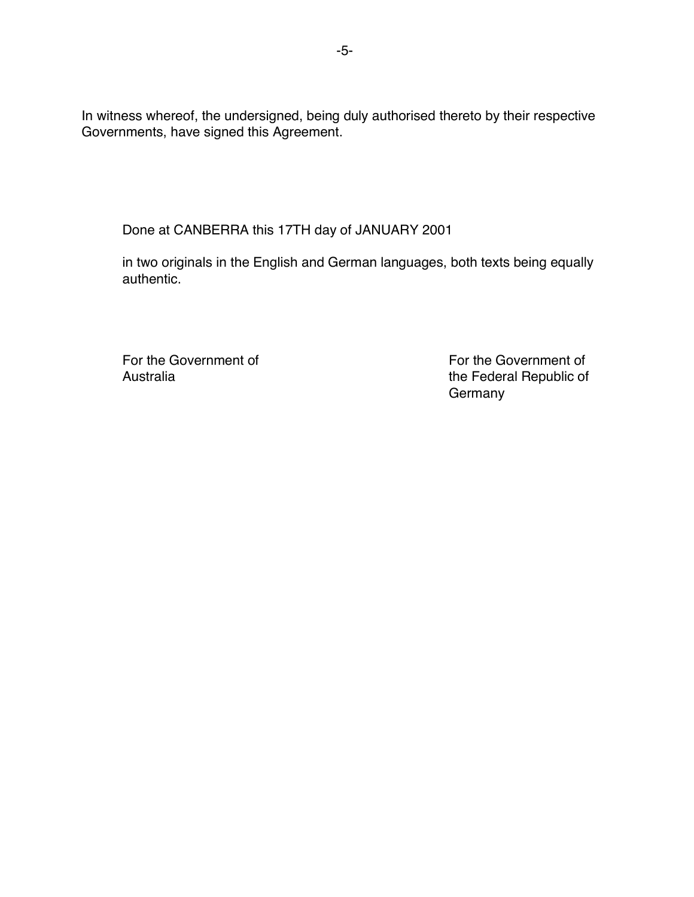In witness whereof, the undersigned, being duly authorised thereto by their respective Governments, have signed this Agreement.

Done at CANBERRA this 17TH day of JANUARY 2001

in two originals in the English and German languages, both texts being equally authentic.

For the Government of For the Government of

Australia **Australia** the Federal Republic of Germany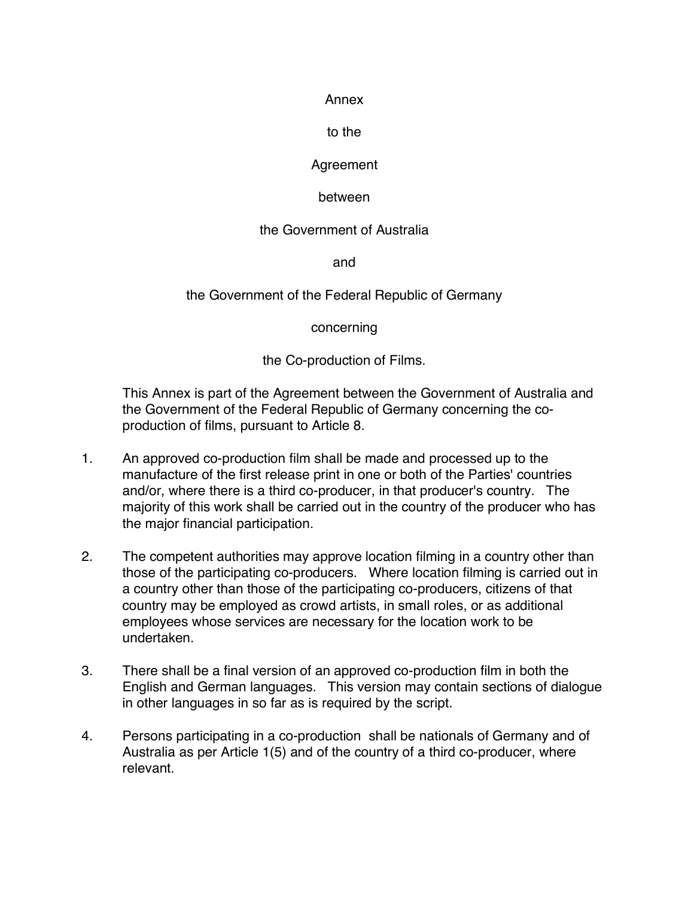#### Annex

### to the

# **Agreement**

# between

# the Government of Australia

and

# the Government of the Federal Republic of Germany

concerning

the Co-production of Films.

This Annex is part of the Agreement between the Government of Australia and the Government of the Federal Republic of Germany concerning the coproduction of films, pursuant to Article 8.

- 1. An approved co-production film shall be made and processed up to the manufacture of the first release print in one or both of the Parties' countries and/or, where there is a third co-producer, in that producer's country. The majority of this work shall be carried out in the country of the producer who has the major financial participation.
- 2. The competent authorities may approve location filming in a country other than those of the participating co-producers. Where location filming is carried out in a country other than those of the participating co-producers, citizens of that country may be employed as crowd artists, in small roles, or as additional employees whose services are necessary for the location work to be undertaken.
- 3. There shall be a final version of an approved co-production film in both the English and German languages. This version may contain sections of dialogue in other languages in so far as is required by the script.
- 4. Persons participating in a co-production shall be nationals of Germany and of Australia as per Article 1(5) and of the country of a third co-producer, where relevant.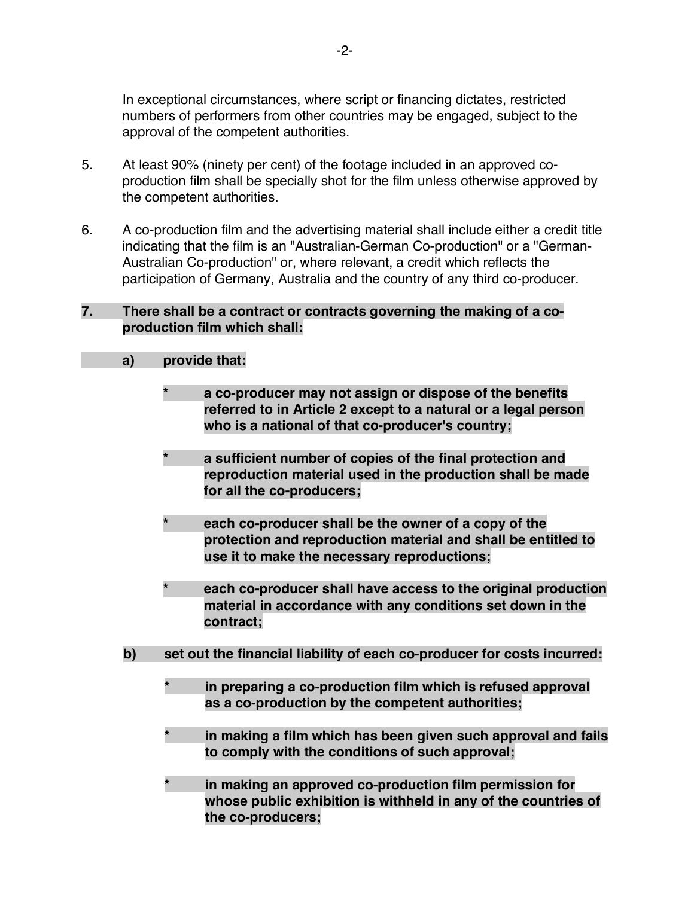In exceptional circumstances, where script or financing dictates, restricted numbers of performers from other countries may be engaged, subject to the approval of the competent authorities.

- 5. At least 90% (ninety per cent) of the footage included in an approved coproduction film shall be specially shot for the film unless otherwise approved by the competent authorities.
- 6. A co-production film and the advertising material shall include either a credit title indicating that the film is an "Australian-German Co-production" or a "German-Australian Co-production" or, where relevant, a credit which reflects the participation of Germany, Australia and the country of any third co-producer.

### **7. There shall be a contract or contracts governing the making of a coproduction film which shall:**

### **a) provide that:**

- **\* a co-producer may not assign or dispose of the benefits referred to in Article 2 except to a natural or a legal person who is a national of that co-producer's country;**
- **\* a sufficient number of copies of the final protection and reproduction material used in the production shall be made for all the co-producers;**
- **\* each co-producer shall be the owner of a copy of the protection and reproduction material and shall be entitled to use it to make the necessary reproductions;**
- **\* each co-producer shall have access to the original production material in accordance with any conditions set down in the contract;**
- **b) set out the financial liability of each co-producer for costs incurred:**
	- **\* in preparing a co-production film which is refused approval as a co-production by the competent authorities;**
	- **\* in making a film which has been given such approval and fails to comply with the conditions of such approval;**
	- **\* in making an approved co-production film permission for whose public exhibition is withheld in any of the countries of the co-producers;**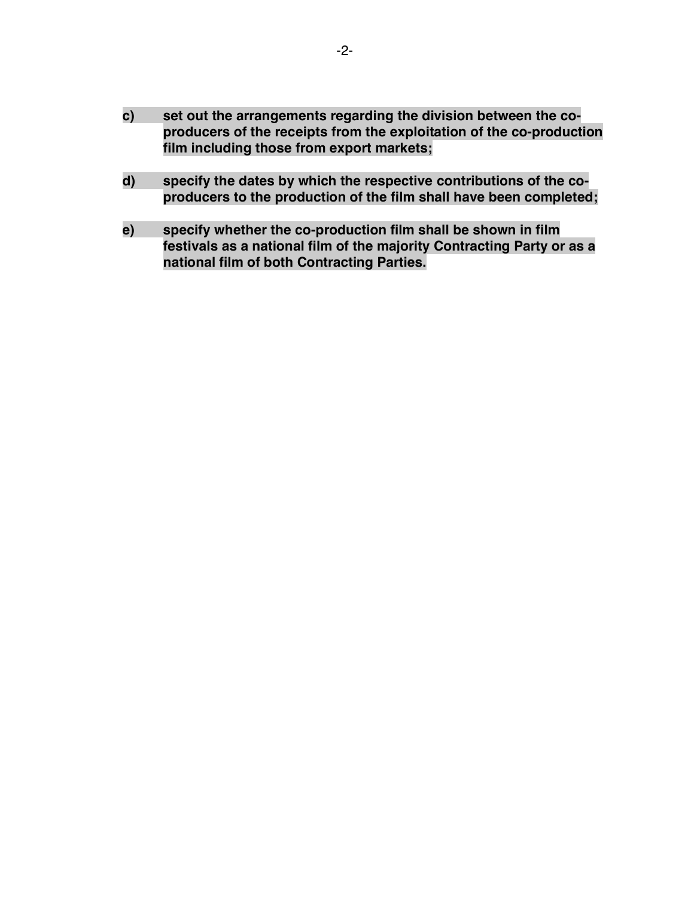- **c) set out the arrangements regarding the division between the coproducers of the receipts from the exploitation of the co-production film including those from export markets;**
- **d) specify the dates by which the respective contributions of the coproducers to the production of the film shall have been completed;**
- **e) specify whether the co-production film shall be shown in film festivals as a national film of the majority Contracting Party or as a national film of both Contracting Parties.**